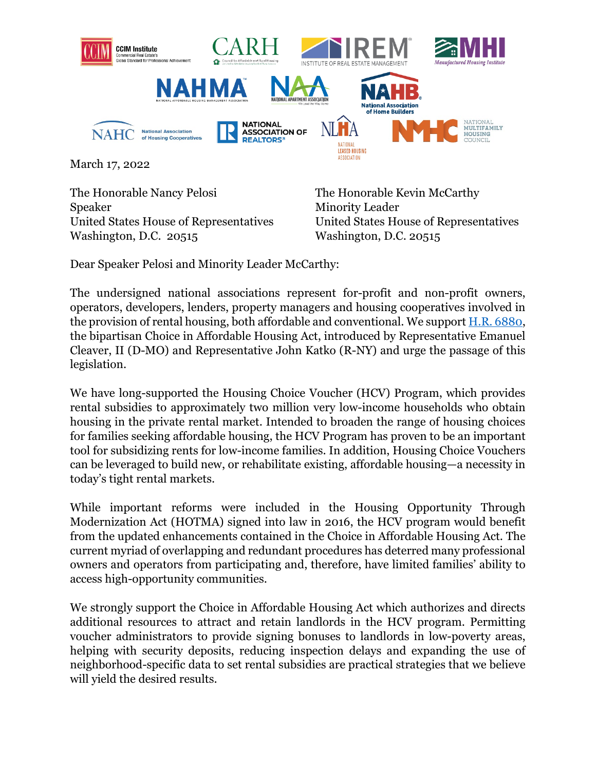

March 17, 2022

The Honorable Nancy Pelosi **The Honorable Kevin McCarthy** Speaker Minority Leader Washington, D.C. 20515

United States House of Representatives United States House of Representatives

Dear Speaker Pelosi and Minority Leader McCarthy:

The undersigned national associations represent for-profit and non-profit owners, operators, developers, lenders, property managers and housing cooperatives involved in the provision of rental housing, both affordable and conventional. We support [H.R. 6880,](https://www.congress.gov/bill/117th-congress/house-bill/6880?q=%7B%22search%22%3A%5B%22%22%5D%7D&r=1&s=1) the bipartisan [Choice in Affordable Housing Act,](https://www.coons.senate.gov/imo/media/doc/one_pager_choice_in_affordable_housing_act_117.pdf) introduced by Representative Emanuel Cleaver, II (D-MO) and Representative John Katko (R-NY) and urge the passage of this legislation.

We have long-supported the Housing Choice Voucher (HCV) Program, which provides rental subsidies to approximately two million very low-income households who obtain housing in the private rental market. Intended to broaden the range of housing choices for families seeking affordable housing, the HCV Program has proven to be an important tool for subsidizing rents for low-income families. In addition, Housing Choice Vouchers can be leveraged to build new, or rehabilitate existing, affordable housing—a necessity in today's tight rental markets.

While important reforms were included in the Housing Opportunity Through Modernization Act (HOTMA) signed into law in 2016, the HCV program would benefit from the updated enhancements contained in the Choice in Affordable Housing Act. The current myriad of overlapping and redundant procedures has deterred many professional owners and operators from participating and, therefore, have limited families' ability to access high-opportunity communities.

We strongly support the Choice in Affordable Housing Act which authorizes and directs additional resources to attract and retain landlords in the HCV program. Permitting voucher administrators to provide signing bonuses to landlords in low-poverty areas, helping with security deposits, reducing inspection delays and expanding the use of neighborhood-specific data to set rental subsidies are practical strategies that we believe will yield the desired results.